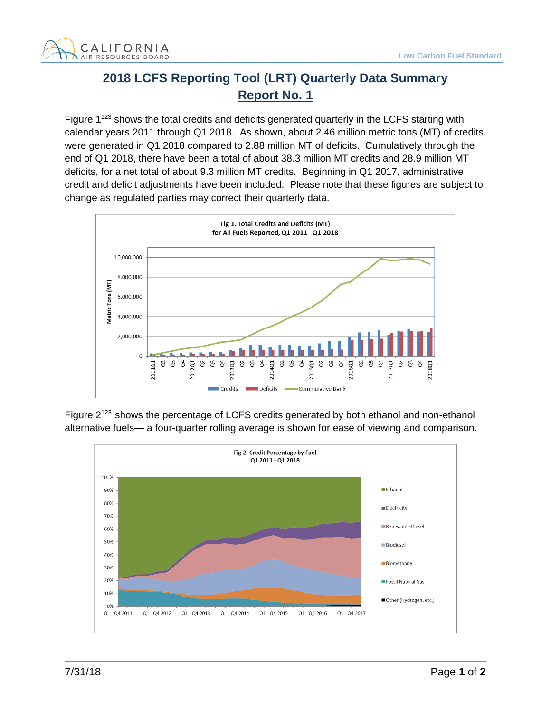

## **2018 LCFS Reporting Tool (LRT) Quarterly Data Summary Report No. 1**

Figure 1<sup>123</sup> shows the total credits and deficits generated quarterly in the LCFS starting with calendar years 2011 through Q1 2018. As shown, about 2.46 million metric tons (MT) of credits were generated in Q1 2018 compared to 2.88 million MT of deficits. Cumulatively through the end of Q1 2018, there have been a total of about 38.3 million MT credits and 28.9 million MT deficits, for a net total of about 9.3 million MT credits. Beginning in Q1 2017, administrative credit and deficit adjustments have been included. Please note that these figures are subject to change as regulated parties may correct their quarterly data.



Figure 2<sup>123</sup> shows the percentage of LCFS credits generated by both ethanol and non-ethanol alternative fuels— a four-quarter rolling average is shown for ease of viewing and comparison.